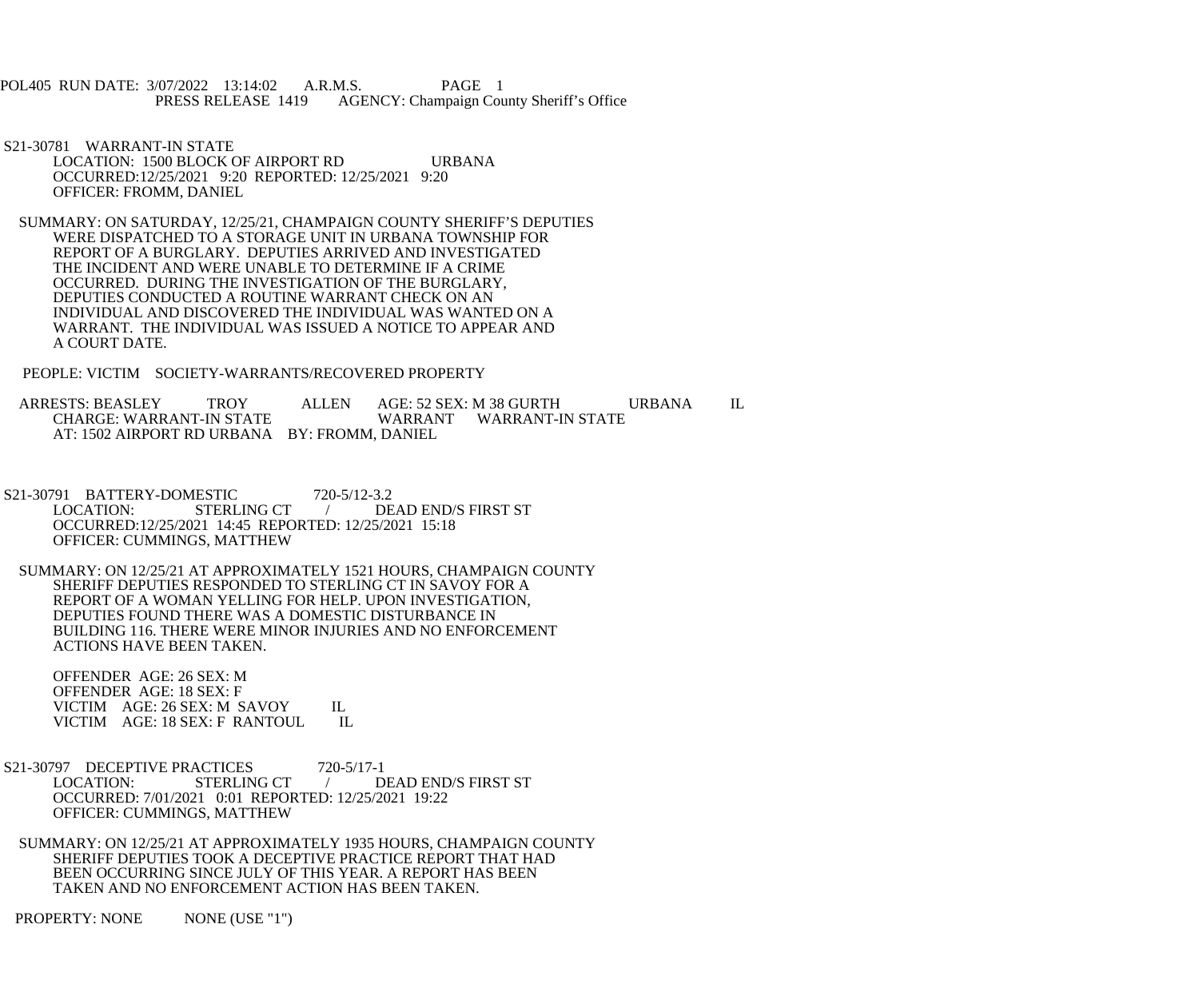POL405 RUN DATE: 3/07/2022 13:14:02 A.R.M.S. PAGE 1<br>PRESS RELEASE 1419 AGENCY: Champaign Cou AGENCY: Champaign County Sheriff's Office

 S21-30781 WARRANT-IN STATE LOCATION: 1500 BLOCK OF AIRPORT RD URBANA OCCURRED:12/25/2021 9:20 REPORTED: 12/25/2021 9:20 OFFICER: FROMM, DANIEL

 SUMMARY: ON SATURDAY, 12/25/21, CHAMPAIGN COUNTY SHERIFF'S DEPUTIES WERE DISPATCHED TO A STORAGE UNIT IN URBANA TOWNSHIP FOR REPORT OF A BURGLARY. DEPUTIES ARRIVED AND INVESTIGATED THE INCIDENT AND WERE UNABLE TO DETERMINE IF A CRIME OCCURRED. DURING THE INVESTIGATION OF THE BURGLARY, DEPUTIES CONDUCTED A ROUTINE WARRANT CHECK ON AN INDIVIDUAL AND DISCOVERED THE INDIVIDUAL WAS WANTED ON A WARRANT. THE INDIVIDUAL WAS ISSUED A NOTICE TO APPEAR AND A COURT DATE.

PEOPLE: VICTIM SOCIETY-WARRANTS/RECOVERED PROPERTY

ARRESTS: BEASLEY TROY ALLEN AGE: 52 SEX: M 38 GURTH URBANA IL<br>CHARGE: WARRANT-IN STATE WARRANT WARRANT-IN STATE WARRANT WARRANT-IN STATE AT: 1502 AIRPORT RD URBANA BY: FROMM, DANIEL

 S21-30791 BATTERY-DOMESTIC 720-5/12-3.2 LOCATION: STERLING CT / DEAD END/S FIRST ST OCCURRED:12/25/2021 14:45 REPORTED: 12/25/2021 15:18 OFFICER: CUMMINGS, MATTHEW

 SUMMARY: ON 12/25/21 AT APPROXIMATELY 1521 HOURS, CHAMPAIGN COUNTY SHERIFF DEPUTIES RESPONDED TO STERLING CT IN SAVOY FOR A REPORT OF A WOMAN YELLING FOR HELP. UPON INVESTIGATION, DEPUTIES FOUND THERE WAS A DOMESTIC DISTURBANCE IN BUILDING 116. THERE WERE MINOR INJURIES AND NO ENFORCEMENT ACTIONS HAVE BEEN TAKEN.

 OFFENDER AGE: 26 SEX: M OFFENDER AGE: 18 SEX: F VICTIM AGE: 26 SEX: M SAVOY IL<br>VICTIM AGE: 18 SEX: F RANTOUL IL VICTIM AGE: 18 SEX: F RANTOUL

S21-30797 DECEPTIVE PRACTICES 720-5/17-1<br>LOCATION: STERLING CT / D LOCATION: STERLING CT / DEAD END/S FIRST ST OCCURRED: 7/01/2021 0:01 REPORTED: 12/25/2021 19:22 OFFICER: CUMMINGS, MATTHEW

 SUMMARY: ON 12/25/21 AT APPROXIMATELY 1935 HOURS, CHAMPAIGN COUNTY SHERIFF DEPUTIES TOOK A DECEPTIVE PRACTICE REPORT THAT HAD BEEN OCCURRING SINCE JULY OF THIS YEAR. A REPORT HAS BEEN TAKEN AND NO ENFORCEMENT ACTION HAS BEEN TAKEN.

PROPERTY: NONE NONE (USE "1")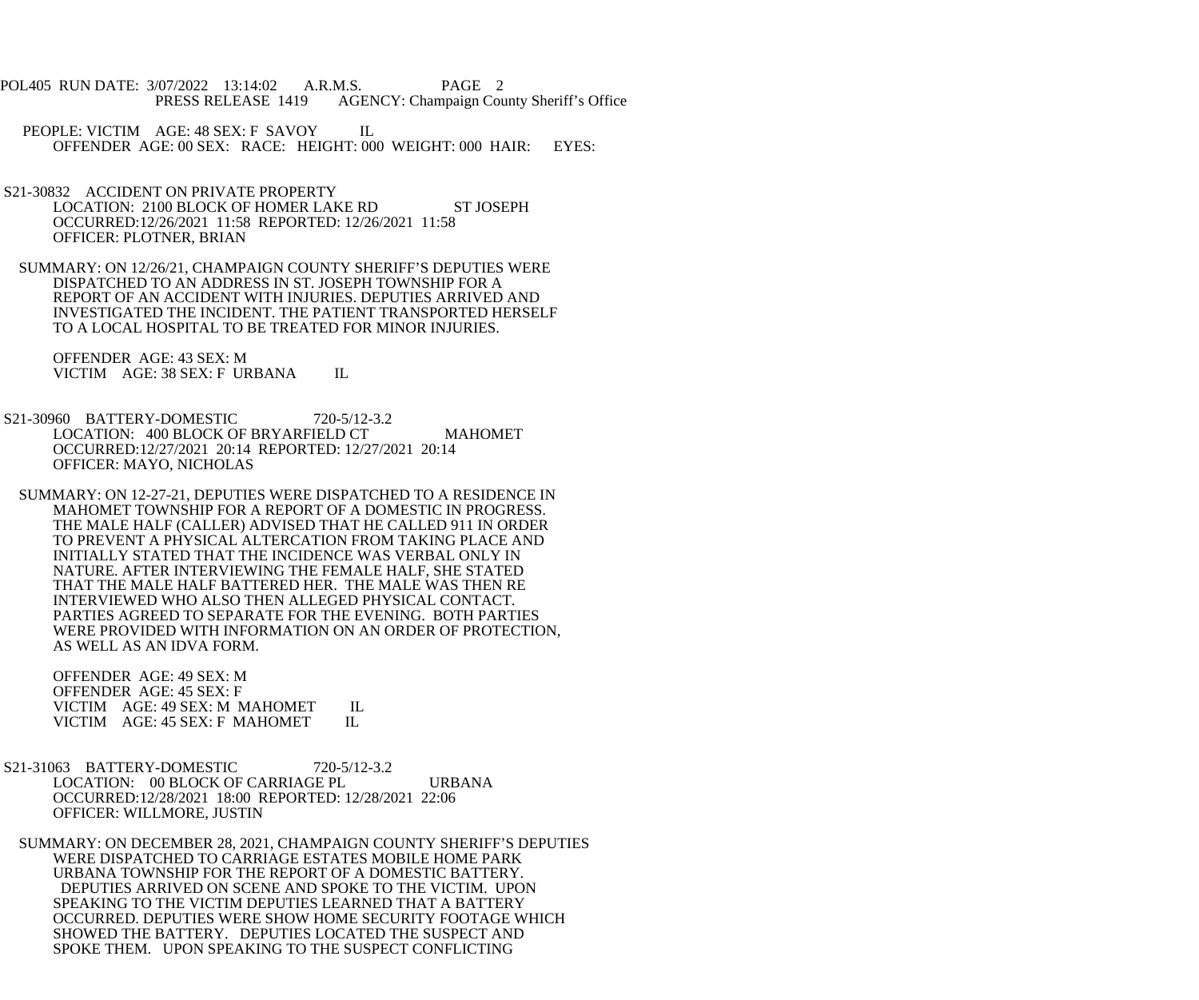- POL405 RUN DATE: 3/07/2022 13:14:02 A.R.M.S. PAGE 2<br>PRESS RELEASE 1419 AGENCY: Champaign Cou AGENCY: Champaign County Sheriff's Office
	- PEOPLE: VICTIM AGE: 48 SEX: F SAVOY IL OFFENDER AGE: 00 SEX: RACE: HEIGHT: 000 WEIGHT: 000 HAIR: EYES:
- S21-30832 ACCIDENT ON PRIVATE PROPERTY LOCATION: 2100 BLOCK OF HOMER LAKE RD ST JOSEPH OCCURRED:12/26/2021 11:58 REPORTED: 12/26/2021 11:58 OFFICER: PLOTNER, BRIAN
- SUMMARY: ON 12/26/21, CHAMPAIGN COUNTY SHERIFF'S DEPUTIES WERE DISPATCHED TO AN ADDRESS IN ST. JOSEPH TOWNSHIP FOR A REPORT OF AN ACCIDENT WITH INJURIES. DEPUTIES ARRIVED AND INVESTIGATED THE INCIDENT. THE PATIENT TRANSPORTED HERSELF TO A LOCAL HOSPITAL TO BE TREATED FOR MINOR INJURIES.

 OFFENDER AGE: 43 SEX: M VICTIM AGE: 38 SEX: F URBANA IL

- S21-30960 BATTERY-DOMESTIC 720-5/12-3.2 LOCATION: 400 BLOCK OF BRYARFIELD CT MAHOMET OCCURRED:12/27/2021 20:14 REPORTED: 12/27/2021 20:14 OFFICER: MAYO, NICHOLAS
	- SUMMARY: ON 12-27-21, DEPUTIES WERE DISPATCHED TO A RESIDENCE IN MAHOMET TOWNSHIP FOR A REPORT OF A DOMESTIC IN PROGRESS. THE MALE HALF (CALLER) ADVISED THAT HE CALLED 911 IN ORDER TO PREVENT A PHYSICAL ALTERCATION FROM TAKING PLACE AND INITIALLY STATED THAT THE INCIDENCE WAS VERBAL ONLY IN NATURE. AFTER INTERVIEWING THE FEMALE HALF, SHE STATED THAT THE MALE HALF BATTERED HER. THE MALE WAS THEN RE INTERVIEWED WHO ALSO THEN ALLEGED PHYSICAL CONTACT. PARTIES AGREED TO SEPARATE FOR THE EVENING. BOTH PARTIES WERE PROVIDED WITH INFORMATION ON AN ORDER OF PROTECTION, AS WELL AS AN IDVA FORM.

 OFFENDER AGE: 49 SEX: M OFFENDER AGE: 45 SEX: F VICTIM AGE: 49 SEX: M MAHOMET IL<br>VICTIM AGE: 45 SEX: F MAHOMET IL VICTIM AGE: 45 SEX: F MAHOMET

- S21-31063 BATTERY-DOMESTIC 720-5/12-3.2 LOCATION: 00 BLOCK OF CARRIAGE PL URBANA OCCURRED:12/28/2021 18:00 REPORTED: 12/28/2021 22:06 OFFICER: WILLMORE, JUSTIN
	- SUMMARY: ON DECEMBER 28, 2021, CHAMPAIGN COUNTY SHERIFF'S DEPUTIES WERE DISPATCHED TO CARRIAGE ESTATES MOBILE HOME PARK URBANA TOWNSHIP FOR THE REPORT OF A DOMESTIC BATTERY. DEPUTIES ARRIVED ON SCENE AND SPOKE TO THE VICTIM. UPON SPEAKING TO THE VICTIM DEPUTIES LEARNED THAT A BATTERY OCCURRED. DEPUTIES WERE SHOW HOME SECURITY FOOTAGE WHICH SHOWED THE BATTERY. DEPUTIES LOCATED THE SUSPECT AND SPOKE THEM. UPON SPEAKING TO THE SUSPECT CONFLICTING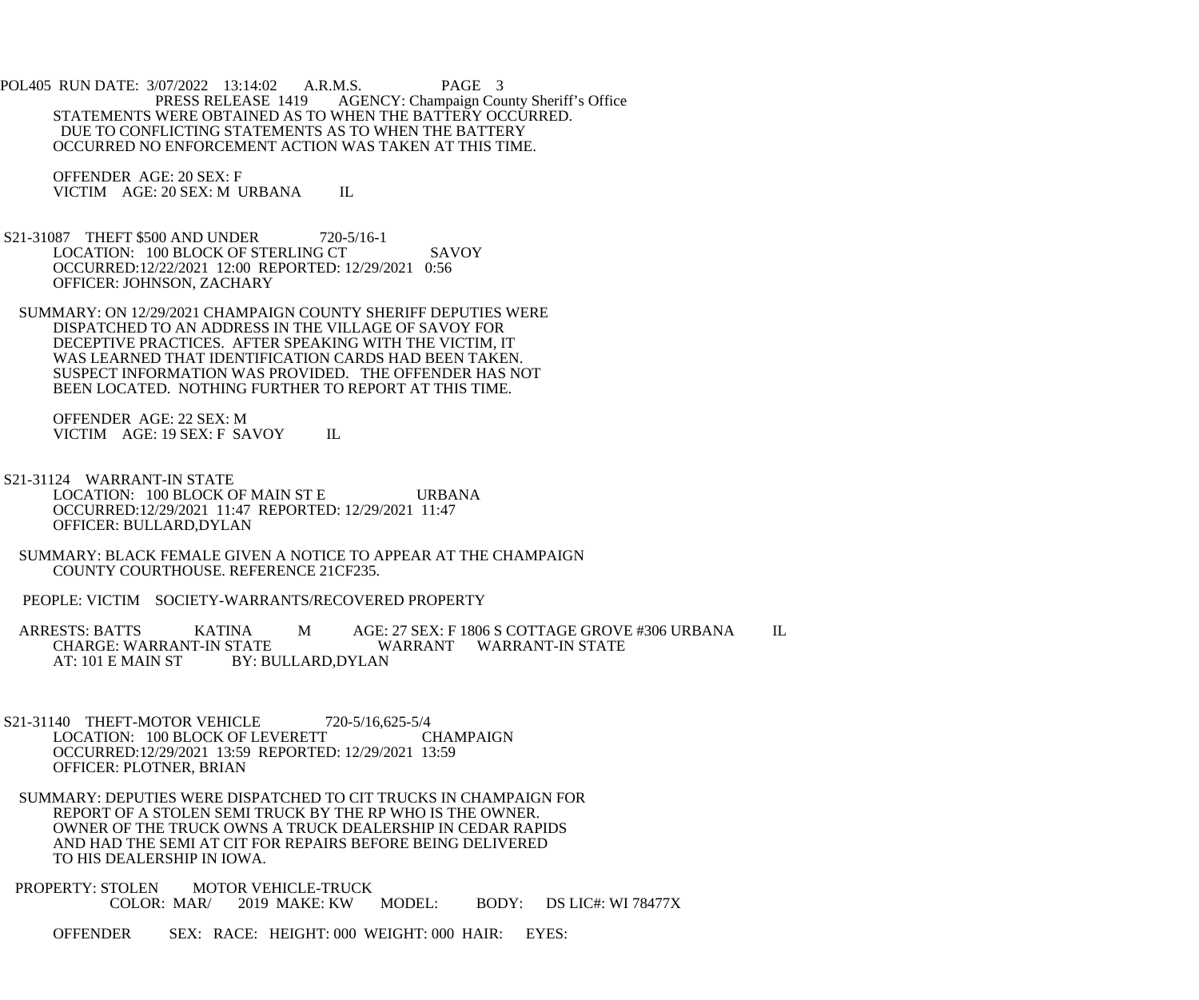POL405 RUN DATE: 3/07/2022 13:14:02 A.R.M.S. PAGE 3<br>PRESS RELEASE 1419 AGENCY: Champaign Cou AGENCY: Champaign County Sheriff's Office STATEMENTS WERE OBTAINED AS TO WHEN THE BATTERY OCCURRED. DUE TO CONFLICTING STATEMENTS AS TO WHEN THE BATTERY OCCURRED NO ENFORCEMENT ACTION WAS TAKEN AT THIS TIME.

 OFFENDER AGE: 20 SEX: F VICTIM AGE: 20 SEX: M URBANA IL

 S21-31087 THEFT \$500 AND UNDER 720-5/16-1 LOCATION: 100 BLOCK OF STERLING CT SAVOY OCCURRED:12/22/2021 12:00 REPORTED: 12/29/2021 0:56 OFFICER: JOHNSON, ZACHARY

 SUMMARY: ON 12/29/2021 CHAMPAIGN COUNTY SHERIFF DEPUTIES WERE DISPATCHED TO AN ADDRESS IN THE VILLAGE OF SAVOY FOR DECEPTIVE PRACTICES. AFTER SPEAKING WITH THE VICTIM, IT WAS LEARNED THAT IDENTIFICATION CARDS HAD BEEN TAKEN. SUSPECT INFORMATION WAS PROVIDED. THE OFFENDER HAS NOT BEEN LOCATED. NOTHING FURTHER TO REPORT AT THIS TIME.

 OFFENDER AGE: 22 SEX: M VICTIM AGE: 19 SEX: F SAVOY IL

- S21-31124 WARRANT-IN STATE LOCATION: 100 BLOCK OF MAIN ST E URBANA OCCURRED:12/29/2021 11:47 REPORTED: 12/29/2021 11:47 OFFICER: BULLARD,DYLAN
- SUMMARY: BLACK FEMALE GIVEN A NOTICE TO APPEAR AT THE CHAMPAIGN COUNTY COURTHOUSE. REFERENCE 21CF235.
- PEOPLE: VICTIM SOCIETY-WARRANTS/RECOVERED PROPERTY

ARRESTS: BATTS KATINA M AGE: 27 SEX: F 1806 S COTTAGE GROVE #306 URBANA IL CHARGE: WARRANT WARRANT WARRANT-IN STATE CHARGE: WARRANT-IN STATE<br>AT: 101 E MAIN ST BY: BI BY: BULLARD,DYLAN

- S21-31140 THEFT-MOTOR VEHICLE 720-5/16,625-5/4 LOCATION: 100 BLOCK OF LEVERETT CHAMPAIGN OCCURRED:12/29/2021 13:59 REPORTED: 12/29/2021 13:59 OFFICER: PLOTNER, BRIAN
- SUMMARY: DEPUTIES WERE DISPATCHED TO CIT TRUCKS IN CHAMPAIGN FOR REPORT OF A STOLEN SEMI TRUCK BY THE RP WHO IS THE OWNER. OWNER OF THE TRUCK OWNS A TRUCK DEALERSHIP IN CEDAR RAPIDS AND HAD THE SEMI AT CIT FOR REPAIRS BEFORE BEING DELIVERED TO HIS DEALERSHIP IN IOWA.
- PROPERTY: STOLEN MOTOR VEHICLE-TRUCK<br>COLOR: MAR/ 2019 MAKE: KW MODEL: BODY: DS LIC#: WI 78477X

OFFENDER SEX: RACE: HEIGHT: 000 WEIGHT: 000 HAIR: EYES: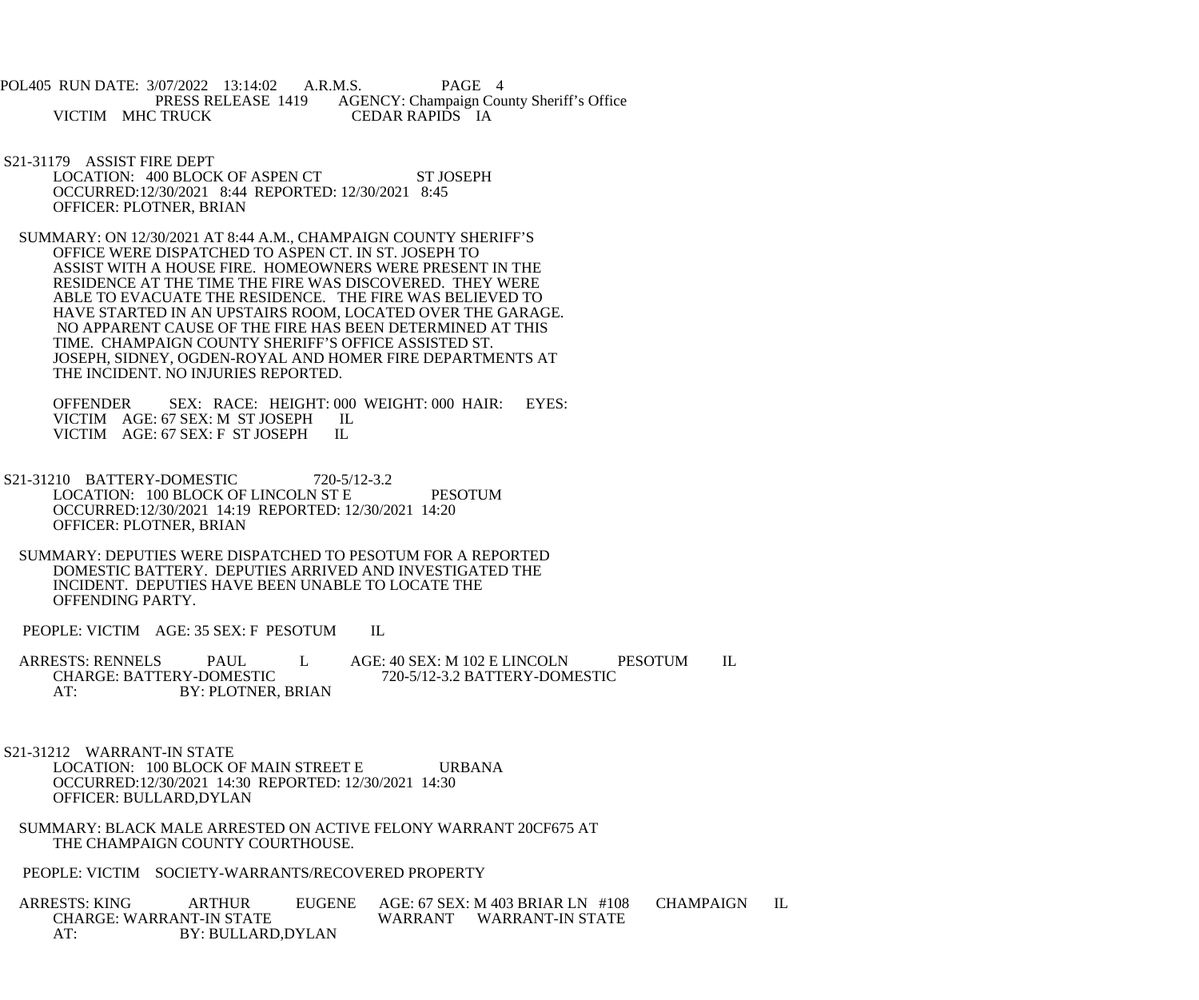- POL405 RUN DATE: 3/07/2022 13:14:02 A.R.M.S. PAGE 4 PRESS RELEASE 1419 AGENCY: Champaign County Sheriff's Office<br>
CEDAR RAPIDS IA VICTIM MHC TRUCK
- S21-31179 ASSIST FIRE DEPT LOCATION: 400 BLOCK OF ASPEN CT ST JOSEPH OCCURRED:12/30/2021 8:44 REPORTED: 12/30/2021 8:45 OFFICER: PLOTNER, BRIAN
- SUMMARY: ON 12/30/2021 AT 8:44 A.M., CHAMPAIGN COUNTY SHERIFF'S OFFICE WERE DISPATCHED TO ASPEN CT. IN ST. JOSEPH TO ASSIST WITH A HOUSE FIRE. HOMEOWNERS WERE PRESENT IN THE RESIDENCE AT THE TIME THE FIRE WAS DISCOVERED. THEY WERE ABLE TO EVACUATE THE RESIDENCE. THE FIRE WAS BELIEVED TO HAVE STARTED IN AN UPSTAIRS ROOM, LOCATED OVER THE GARAGE. NO APPARENT CAUSE OF THE FIRE HAS BEEN DETERMINED AT THIS TIME. CHAMPAIGN COUNTY SHERIFF'S OFFICE ASSISTED ST. JOSEPH, SIDNEY, OGDEN-ROYAL AND HOMER FIRE DEPARTMENTS AT THE INCIDENT. NO INJURIES REPORTED.

 OFFENDER SEX: RACE: HEIGHT: 000 WEIGHT: 000 HAIR: EYES: VICTIM AGE: 67 SEX: M ST JOSEPH IL<br>VICTIM AGE: 67 SEX: F ST JOSEPH IL VICTIM AGE: 67 SEX: F ST JOSEPH

- S21-31210 BATTERY-DOMESTIC 720-5/12-3.2 LOCATION: 100 BLOCK OF LINCOLN ST E PESOTUM OCCURRED:12/30/2021 14:19 REPORTED: 12/30/2021 14:20 OFFICER: PLOTNER, BRIAN
- SUMMARY: DEPUTIES WERE DISPATCHED TO PESOTUM FOR A REPORTED DOMESTIC BATTERY. DEPUTIES ARRIVED AND INVESTIGATED THE INCIDENT. DEPUTIES HAVE BEEN UNABLE TO LOCATE THE OFFENDING PARTY.

PEOPLE: VICTIM AGE: 35 SEX: F PESOTUM IL

ARRESTS: RENNELS PAUL L AGE: 40 SEX: M 102 E LINCOLN PESOTUM IL<br>CHARGE: BATTERY-DOMESTIC 720-5/12-3.2 BATTERY-DOMESTIC CHARGE: BATTERY-DOMESTIC 720-5/12-3.2 BATTERY-DOMESTIC AT: BY: PLOTNER, BRIAN

 S21-31212 WARRANT-IN STATE LOCATION: 100 BLOCK OF MAIN STREET E URBANA OCCURRED:12/30/2021 14:30 REPORTED: 12/30/2021 14:30 OFFICER: BULLARD,DYLAN

- SUMMARY: BLACK MALE ARRESTED ON ACTIVE FELONY WARRANT 20CF675 AT THE CHAMPAIGN COUNTY COURTHOUSE.
- PEOPLE: VICTIM SOCIETY-WARRANTS/RECOVERED PROPERTY

ARRESTS: KING ARTHUR EUGENE AGE: 67 SEX: M 403 BRIAR LN #108 CHAMPAIGN IL<br>CHARGE: WARRANT-IN STATE WARRANT WARRANT-IN STATE WARRANT WARRANT-IN STATE AT: BY: BULLARD,DYLAN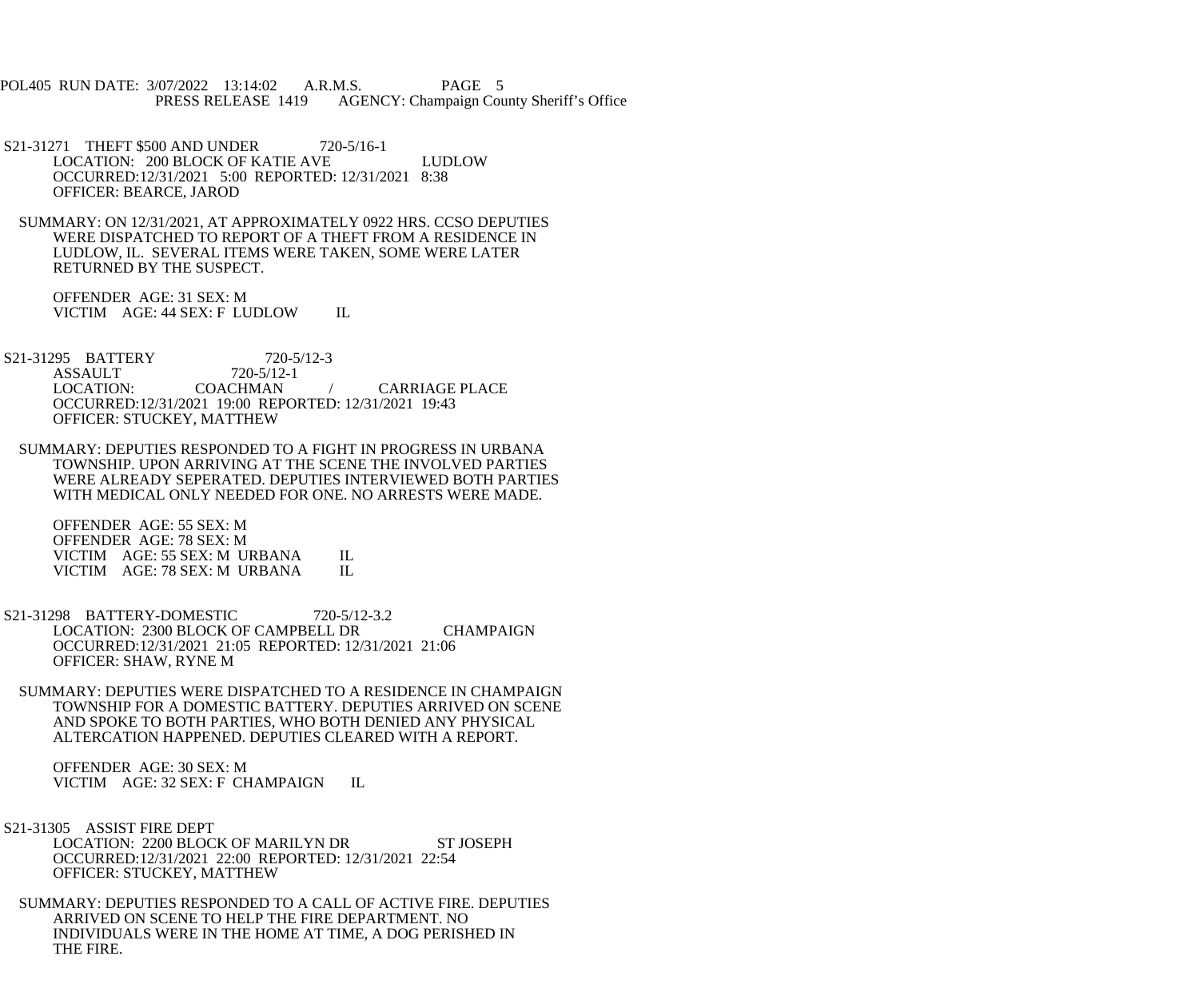POL405 RUN DATE: 3/07/2022 13:14:02 A.R.M.S. PAGE 5 PRESS RELEASE 1419 AGENCY: Champaign County Sheriff's Office

S21-31271 THEFT \$500 AND UNDER 720-5/16-1 LOCATION: 200 BLOCK OF KATIE AVE LUDLOW OCCURRED:12/31/2021 5:00 REPORTED: 12/31/2021 8:38 OFFICER: BEARCE, JAROD

 SUMMARY: ON 12/31/2021, AT APPROXIMATELY 0922 HRS. CCSO DEPUTIES WERE DISPATCHED TO REPORT OF A THEFT FROM A RESIDENCE IN LUDLOW, IL. SEVERAL ITEMS WERE TAKEN, SOME WERE LATER RETURNED BY THE SUSPECT.

 OFFENDER AGE: 31 SEX: M VICTIM AGE: 44 SEX: F LUDLOW IL

S21-31295 BATTERY 720-5/12-3<br>ASSAULT 720-5/12-1 ASSAULT 720-5/12<br>LOCATION: COACHMAN **CARRIAGE PLACE**  OCCURRED:12/31/2021 19:00 REPORTED: 12/31/2021 19:43 OFFICER: STUCKEY, MATTHEW

 SUMMARY: DEPUTIES RESPONDED TO A FIGHT IN PROGRESS IN URBANA TOWNSHIP. UPON ARRIVING AT THE SCENE THE INVOLVED PARTIES WERE ALREADY SEPERATED. DEPUTIES INTERVIEWED BOTH PARTIES WITH MEDICAL ONLY NEEDED FOR ONE. NO ARRESTS WERE MADE.

 OFFENDER AGE: 55 SEX: M OFFENDER AGE: 78 SEX: M VICTIM AGE: 55 SEX: M URBANA IL<br>VICTIM AGE: 78 SEX: M URBANA IL VICTIM AGE: 78 SEX: M URBANA

- S21-31298 BATTERY-DOMESTIC 720-5/12-3.2 LOCATION: 2300 BLOCK OF CAMPBELL DR CHAMPAIGN OCCURRED:12/31/2021 21:05 REPORTED: 12/31/2021 21:06 OFFICER: SHAW, RYNE M
	- SUMMARY: DEPUTIES WERE DISPATCHED TO A RESIDENCE IN CHAMPAIGN TOWNSHIP FOR A DOMESTIC BATTERY. DEPUTIES ARRIVED ON SCENE AND SPOKE TO BOTH PARTIES, WHO BOTH DENIED ANY PHYSICAL ALTERCATION HAPPENED. DEPUTIES CLEARED WITH A REPORT.

 OFFENDER AGE: 30 SEX: M VICTIM AGE: 32 SEX: F CHAMPAIGN IL

- S21-31305 ASSIST FIRE DEPT LOCATION: 2200 BLOCK OF MARILYN DR ST JOSEPH OCCURRED:12/31/2021 22:00 REPORTED: 12/31/2021 22:54 OFFICER: STUCKEY, MATTHEW
	- SUMMARY: DEPUTIES RESPONDED TO A CALL OF ACTIVE FIRE. DEPUTIES ARRIVED ON SCENE TO HELP THE FIRE DEPARTMENT. NO INDIVIDUALS WERE IN THE HOME AT TIME, A DOG PERISHED IN THE FIRE.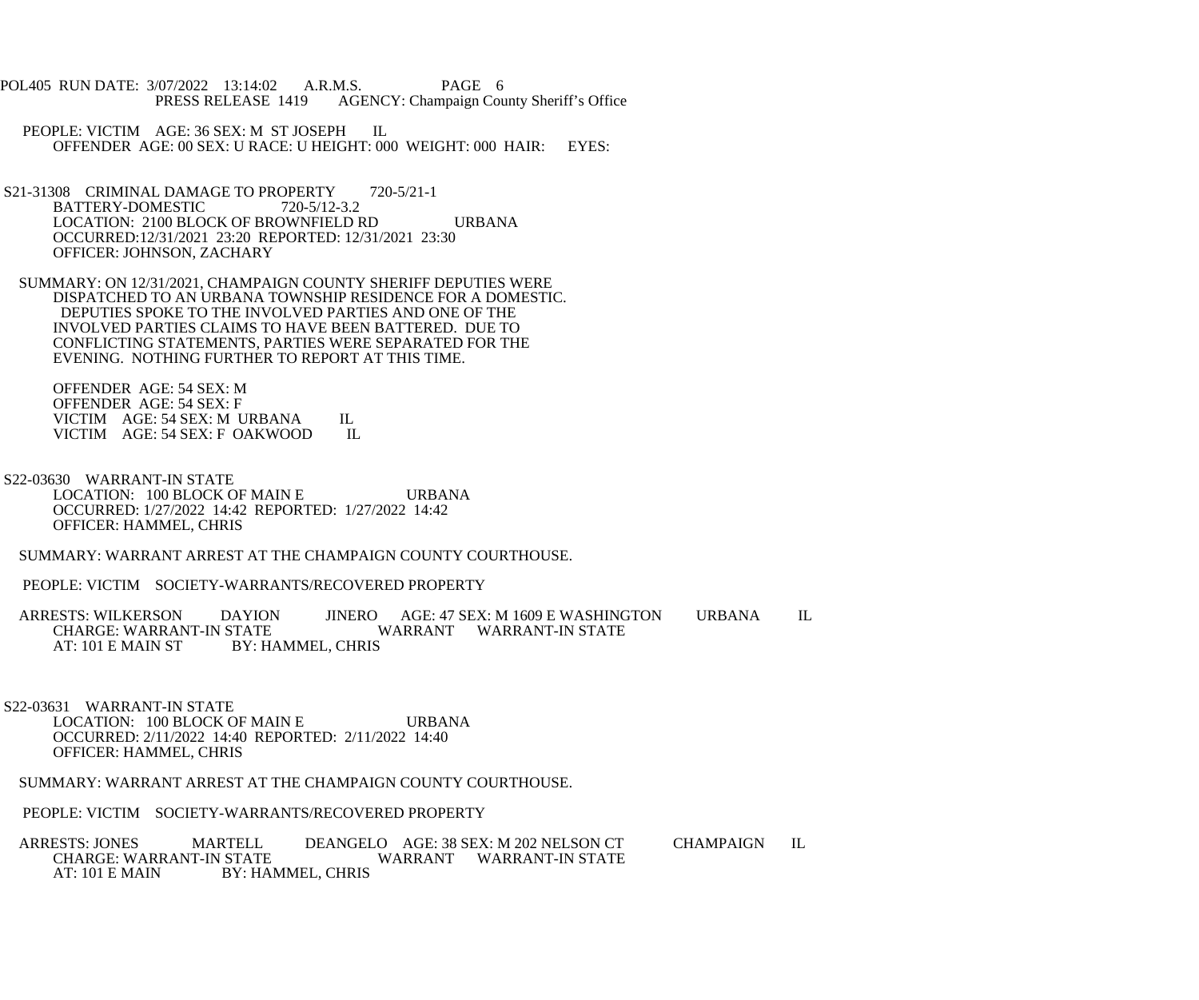- POL405 RUN DATE: 3/07/2022 13:14:02 A.R.M.S. PAGE 6<br>PRESS RELEASE 1419 AGENCY: Champaign Cou AGENCY: Champaign County Sheriff's Office
	- PEOPLE: VICTIM AGE: 36 SEX: M ST JOSEPH IL OFFENDER AGE: 00 SEX: U RACE: U HEIGHT: 000 WEIGHT: 000 HAIR: EYES:
- S21-31308 CRIMINAL DAMAGE TO PROPERTY 720-5/21-1<br>BATTERY-DOMESTIC 720-5/12-3.2 BATTERY-DOMESTIC LOCATION: 2100 BLOCK OF BROWNFIELD RD URBANA OCCURRED:12/31/2021 23:20 REPORTED: 12/31/2021 23:30 OFFICER: JOHNSON, ZACHARY
- SUMMARY: ON 12/31/2021, CHAMPAIGN COUNTY SHERIFF DEPUTIES WERE DISPATCHED TO AN URBANA TOWNSHIP RESIDENCE FOR A DOMESTIC. DEPUTIES SPOKE TO THE INVOLVED PARTIES AND ONE OF THE INVOLVED PARTIES CLAIMS TO HAVE BEEN BATTERED. DUE TO CONFLICTING STATEMENTS, PARTIES WERE SEPARATED FOR THE EVENING. NOTHING FURTHER TO REPORT AT THIS TIME.

 OFFENDER AGE: 54 SEX: M OFFENDER AGE: 54 SEX: F VICTIM AGE: 54 SEX: M URBANA IL<br>VICTIM AGE: 54 SEX: F OAKWOOD IL VICTIM AGE: 54 SEX: F OAKWOOD

 S22-03630 WARRANT-IN STATE LOCATION: 100 BLOCK OF MAIN E URBANA OCCURRED: 1/27/2022 14:42 REPORTED: 1/27/2022 14:42 OFFICER: HAMMEL, CHRIS

SUMMARY: WARRANT ARREST AT THE CHAMPAIGN COUNTY COURTHOUSE.

PEOPLE: VICTIM SOCIETY-WARRANTS/RECOVERED PROPERTY

ARRESTS: WILKERSON DAYION JINERO AGE: 47 SEX: M 1609 E WASHINGTON URBANA IL CHARGE: WARRANT-IN STATE CHARGE: WARRANT-IN STATE WARRANT WARRANT-IN STATE<br>AT: 101 E MAIN ST BY: HAMMEL, CHRIS BY: HAMMEL, CHRIS

 S22-03631 WARRANT-IN STATE LOCATION: 100 BLOCK OF MAIN E URBANA OCCURRED: 2/11/2022 14:40 REPORTED: 2/11/2022 14:40 OFFICER: HAMMEL, CHRIS

SUMMARY: WARRANT ARREST AT THE CHAMPAIGN COUNTY COURTHOUSE.

PEOPLE: VICTIM SOCIETY-WARRANTS/RECOVERED PROPERTY

ARRESTS: JONES MARTELL DEANGELO AGE: 38 SEX: M 202 NELSON CT CHAMPAIGN IL CHARGE: WARRANT-IN STATE CHAMPAIGN IL CHARGE: WARRANT-IN STATE WARRANT WARRANT-IN STATE<br>AT: 101 E MAIN BY: HAMMEL. CHRIS BY: HAMMEL, CHRIS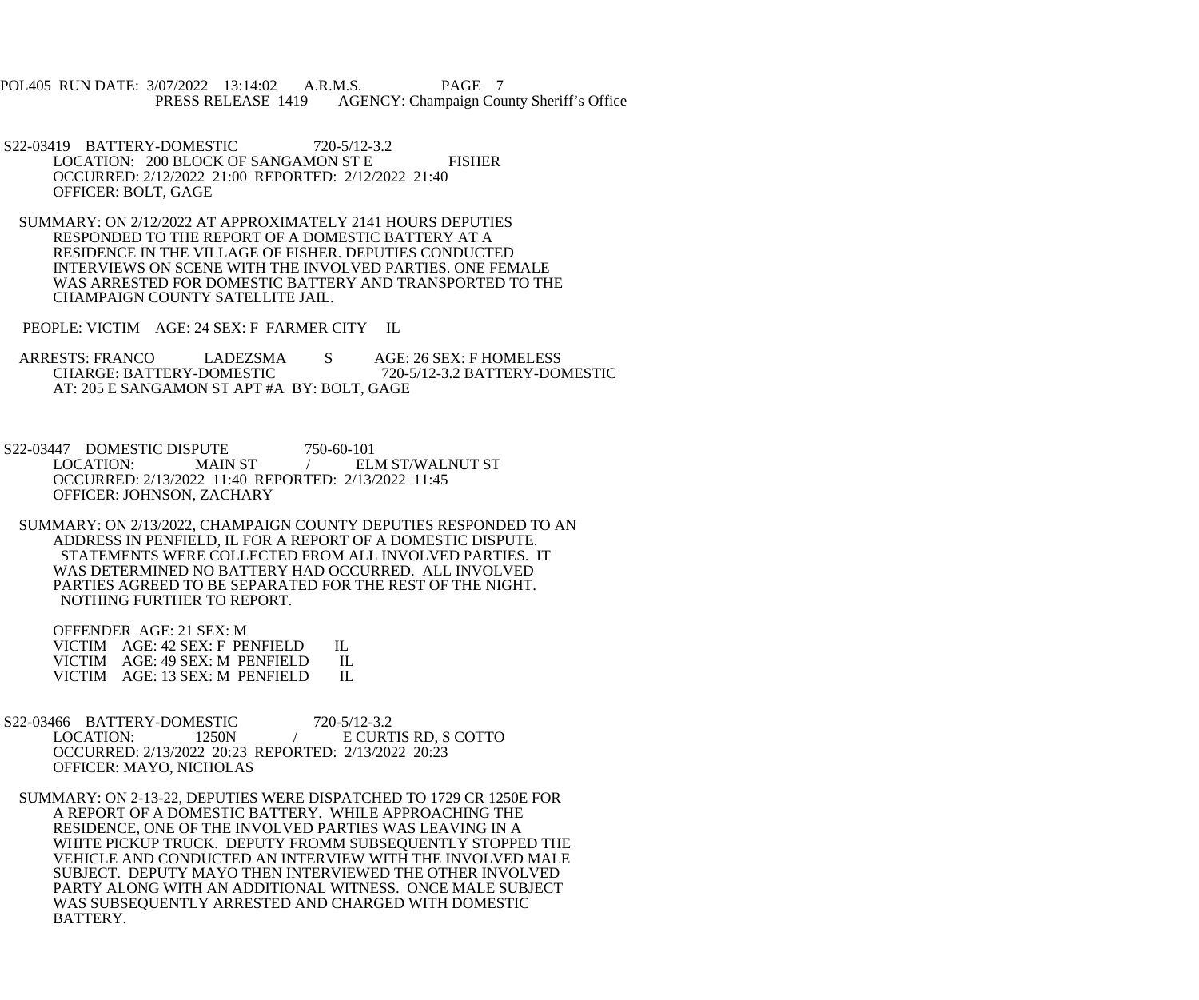POL405 RUN DATE: 3/07/2022 13:14:02 A.R.M.S. PAGE 7<br>PRESS RELEASE 1419 AGENCY: Champaign Cou AGENCY: Champaign County Sheriff's Office

- S22-03419 BATTERY-DOMESTIC 720-5/12-3.2 LOCATION: 200 BLOCK OF SANGAMON ST E FISHER OCCURRED: 2/12/2022 21:00 REPORTED: 2/12/2022 21:40 OFFICER: BOLT, GAGE
- SUMMARY: ON 2/12/2022 AT APPROXIMATELY 2141 HOURS DEPUTIES RESPONDED TO THE REPORT OF A DOMESTIC BATTERY AT A RESIDENCE IN THE VILLAGE OF FISHER. DEPUTIES CONDUCTED INTERVIEWS ON SCENE WITH THE INVOLVED PARTIES. ONE FEMALE WAS ARRESTED FOR DOMESTIC BATTERY AND TRANSPORTED TO THE CHAMPAIGN COUNTY SATELLITE JAIL.

PEOPLE: VICTIM AGE: 24 SEX: F FARMER CITY IL

- ARRESTS: FRANCO LADEZSMA S AGE: 26 SEX: F HOMELESS<br>CHARGE: BATTERY-DOMESTIC 720-5/12-3.2 BATTERY-DOI CHARGE: BATTERY-DOMESTIC 720-5/12-3.2 BATTERY-DOMESTIC AT: 205 E SANGAMON ST APT #A BY: BOLT, GAGE
- S22-03447 DOMESTIC DISPUTE 750-60-101<br>LOCATION: MAIN ST / EL ELM ST/WALNUT ST OCCURRED: 2/13/2022 11:40 REPORTED: 2/13/2022 11:45 OFFICER: JOHNSON, ZACHARY
- SUMMARY: ON 2/13/2022, CHAMPAIGN COUNTY DEPUTIES RESPONDED TO AN ADDRESS IN PENFIELD, IL FOR A REPORT OF A DOMESTIC DISPUTE. STATEMENTS WERE COLLECTED FROM ALL INVOLVED PARTIES. IT WAS DETERMINED NO BATTERY HAD OCCURRED. ALL INVOLVED PARTIES AGREED TO BE SEPARATED FOR THE REST OF THE NIGHT. NOTHING FURTHER TO REPORT.

 OFFENDER AGE: 21 SEX: M VICTIM AGE: 42 SEX: F PENFIELD IL<br>VICTIM AGE: 49 SEX: M PENFIELD IL VICTIM AGE: 49 SEX: M PENFIELD IL<br>VICTIM AGE: 13 SEX: M PENFIELD IL VICTIM AGE: 13 SEX: M PENFIELD

- S22-03466 BATTERY-DOMESTIC 720-5/12-3.2<br>LOCATION: 1250N / E CURT 1250N / E CURTIS RD, S COTTO OCCURRED: 2/13/2022 20:23 REPORTED: 2/13/2022 20:23 OFFICER: MAYO, NICHOLAS
	- SUMMARY: ON 2-13-22, DEPUTIES WERE DISPATCHED TO 1729 CR 1250E FOR A REPORT OF A DOMESTIC BATTERY. WHILE APPROACHING THE RESIDENCE, ONE OF THE INVOLVED PARTIES WAS LEAVING IN A WHITE PICKUP TRUCK. DEPUTY FROMM SUBSEQUENTLY STOPPED THE VEHICLE AND CONDUCTED AN INTERVIEW WITH THE INVOLVED MALE SUBJECT. DEPUTY MAYO THEN INTERVIEWED THE OTHER INVOLVED PARTY ALONG WITH AN ADDITIONAL WITNESS. ONCE MALE SUBJECT WAS SUBSEQUENTLY ARRESTED AND CHARGED WITH DOMESTIC BATTERY.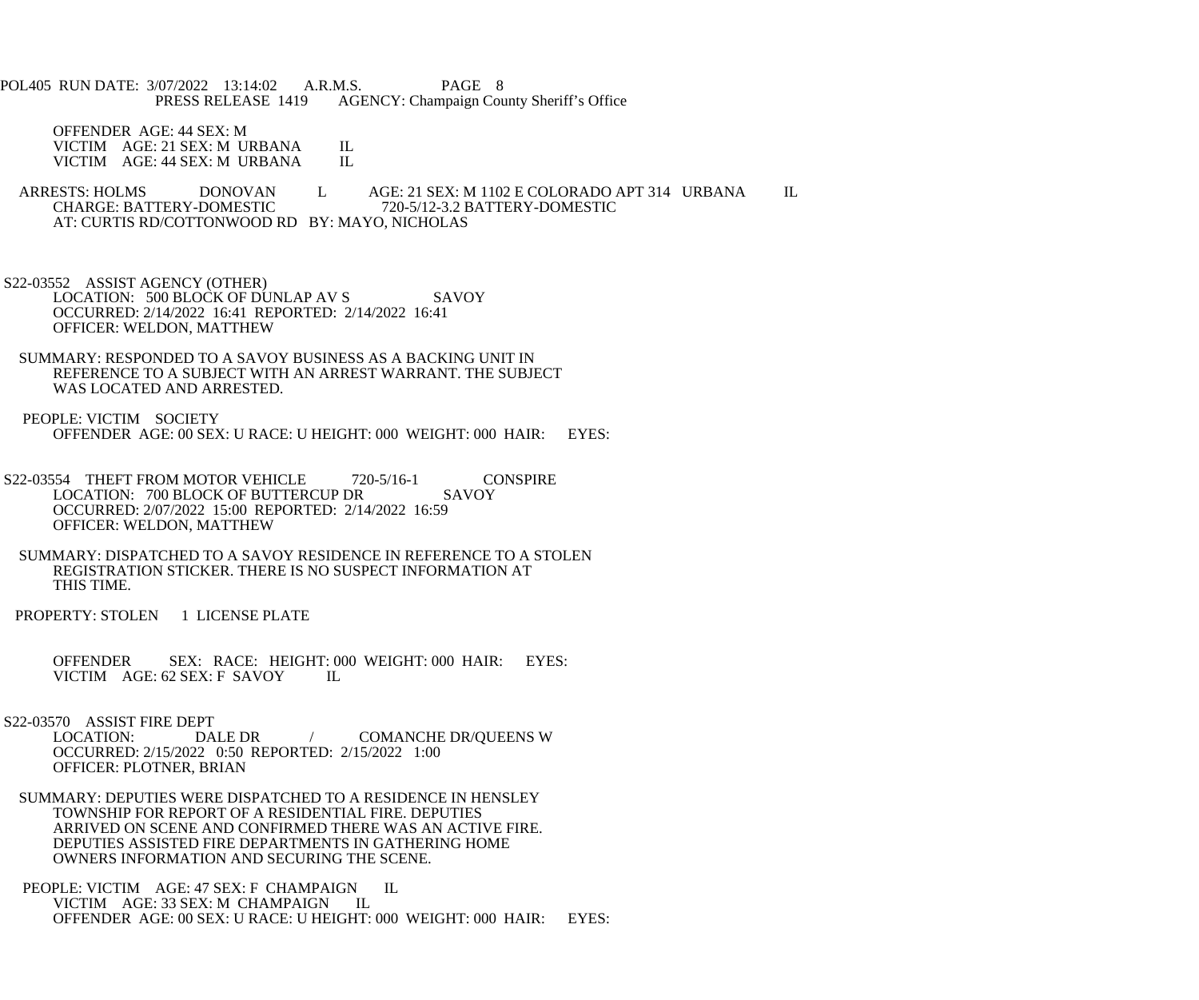POL405 RUN DATE: 3/07/2022 13:14:02 A.R.M.S. PAGE 8<br>PRESS RELEASE 1419 AGENCY: Champaign Cou AGENCY: Champaign County Sheriff's Office

 OFFENDER AGE: 44 SEX: M VICTIM AGE: 21 SEX: M URBANA IL<br>VICTIM AGE: 44 SEX: M URBANA IL VICTIM AGE: 44 SEX: M URBANA

ARRESTS: HOLMS DONOVAN L AGE: 21 SEX: M 1102 E COLORADO APT 314 URBANA IL CHARGE: BATTERY-DOMESTIC 720-5/12-3.2 BATTERY-DOMESTIC CHARGE: BATTERY-DOMESTIC 720-5/12-3.2 BATTERY-DOMESTIC AT: CURTIS RD/COTTONWOOD RD BY: MAYO, NICHOLAS

 S22-03552 ASSIST AGENCY (OTHER) LOCATION: 500 BLOCK OF DUNLAP AV S SAVOY OCCURRED: 2/14/2022 16:41 REPORTED: 2/14/2022 16:41 OFFICER: WELDON, MATTHEW

- SUMMARY: RESPONDED TO A SAVOY BUSINESS AS A BACKING UNIT IN REFERENCE TO A SUBJECT WITH AN ARREST WARRANT. THE SUBJECT WAS LOCATED AND ARRESTED.
- PEOPLE: VICTIM SOCIETY OFFENDER AGE: 00 SEX: U RACE: U HEIGHT: 000 WEIGHT: 000 HAIR: EYES:
- S22-03554 THEFT FROM MOTOR VEHICLE 720-5/16-1 CONSPIRE<br>LOCATION: 700 BLOCK OF BUTTERCUP DR SAVOY LOCATION: 700 BLOCK OF BUTTERCUP DR OCCURRED: 2/07/2022 15:00 REPORTED: 2/14/2022 16:59 OFFICER: WELDON, MATTHEW
- SUMMARY: DISPATCHED TO A SAVOY RESIDENCE IN REFERENCE TO A STOLEN REGISTRATION STICKER. THERE IS NO SUSPECT INFORMATION AT THIS TIME.
- PROPERTY: STOLEN 1 LICENSE PLATE

 OFFENDER SEX: RACE: HEIGHT: 000 WEIGHT: 000 HAIR: EYES: VICTIM AGE: 62 SEX: F SAVOY IL

S22-03570 ASSIST FIRE DEPT<br>LOCATION: DALE DR / COMANCHE DR/QUEENS W OCCURRED: 2/15/2022 0:50 REPORTED: 2/15/2022 1:00 OFFICER: PLOTNER, BRIAN

 SUMMARY: DEPUTIES WERE DISPATCHED TO A RESIDENCE IN HENSLEY TOWNSHIP FOR REPORT OF A RESIDENTIAL FIRE. DEPUTIES ARRIVED ON SCENE AND CONFIRMED THERE WAS AN ACTIVE FIRE. DEPUTIES ASSISTED FIRE DEPARTMENTS IN GATHERING HOME OWNERS INFORMATION AND SECURING THE SCENE.

PEOPLE: VICTIM AGE: 47 SEX: F CHAMPAIGN IL VICTIM AGE: 33 SEX: M CHAMPAIGN IL OFFENDER AGE: 00 SEX: U RACE: U HEIGHT: 000 WEIGHT: 000 HAIR: EYES: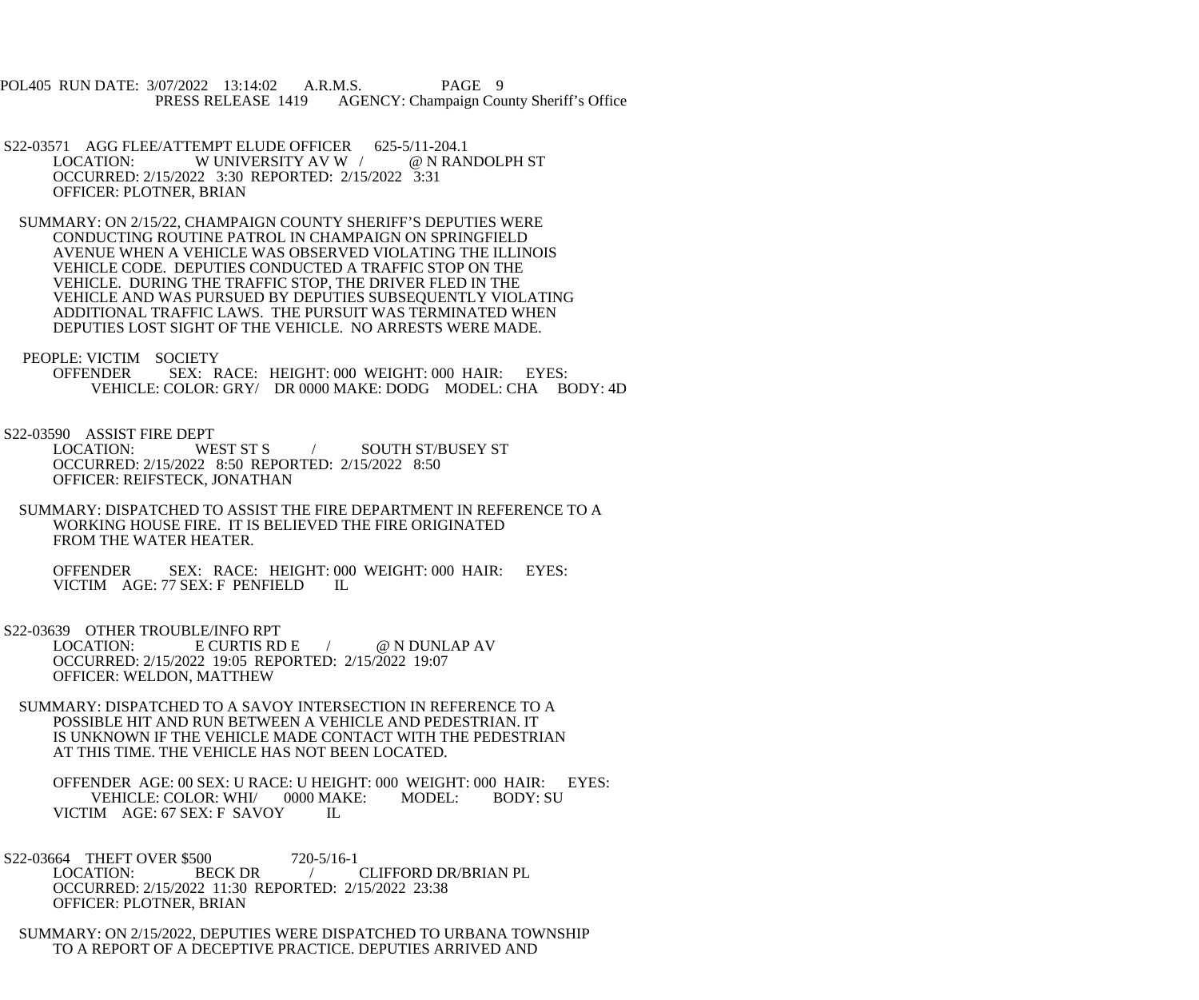POL405 RUN DATE: 3/07/2022 13:14:02 A.R.M.S. PAGE 9 PRESS RELEASE 1419 AGENCY: Champaign County Sheriff's Office

- S22-03571 AGG FLEE/ATTEMPT ELUDE OFFICER 625-5/11-204.1<br>LOCATION: W UNIVERSITY AV W / @ N RANDOLPH ST W UNIVERSITY AV W / OCCURRED: 2/15/2022 3:30 REPORTED: 2/15/2022 3:31 OFFICER: PLOTNER, BRIAN
- SUMMARY: ON 2/15/22, CHAMPAIGN COUNTY SHERIFF'S DEPUTIES WERE CONDUCTING ROUTINE PATROL IN CHAMPAIGN ON SPRINGFIELD AVENUE WHEN A VEHICLE WAS OBSERVED VIOLATING THE ILLINOIS VEHICLE CODE. DEPUTIES CONDUCTED A TRAFFIC STOP ON THE VEHICLE. DURING THE TRAFFIC STOP, THE DRIVER FLED IN THE VEHICLE AND WAS PURSUED BY DEPUTIES SUBSEQUENTLY VIOLATING ADDITIONAL TRAFFIC LAWS. THE PURSUIT WAS TERMINATED WHEN DEPUTIES LOST SIGHT OF THE VEHICLE. NO ARRESTS WERE MADE.
- PEOPLE: VICTIM SOCIETY<br>OFFENDER SEX: R
	- SEX: RACE: HEIGHT: 000 WEIGHT: 000 HAIR: EYES: VEHICLE: COLOR: GRY/ DR 0000 MAKE: DODG MODEL: CHA BODY: 4D
- S22-03590 ASSIST FIRE DEPT
	- LOCATION: WEST ST S / SOUTH ST/BUSEY ST OCCURRED: 2/15/2022 8:50 REPORTED: 2/15/2022 8:50 OFFICER: REIFSTECK, JONATHAN
	- SUMMARY: DISPATCHED TO ASSIST THE FIRE DEPARTMENT IN REFERENCE TO A WORKING HOUSE FIRE. IT IS BELIEVED THE FIRE ORIGINATED FROM THE WATER HEATER.

 OFFENDER SEX: RACE: HEIGHT: 000 WEIGHT: 000 HAIR: EYES: VICTIM AGE: 77 SEX: F PENFIELD IL

S22-03639 OTHER TROUBLE/INFO RPT

LOCATION: E CURTIS RD E / @ N DUNLAP AV OCCURRED: 2/15/2022 19:05 REPORTED: 2/15/2022 19:07 OFFICER: WELDON, MATTHEW

 SUMMARY: DISPATCHED TO A SAVOY INTERSECTION IN REFERENCE TO A POSSIBLE HIT AND RUN BETWEEN A VEHICLE AND PEDESTRIAN. IT IS UNKNOWN IF THE VEHICLE MADE CONTACT WITH THE PEDESTRIAN AT THIS TIME. THE VEHICLE HAS NOT BEEN LOCATED.

OFFENDER AGE: 00 SEX: U RACE: U HEIGHT: 000 WEIGHT: 000 HAIR: EYES:<br>VEHICLE: COLOR: WHI/ 0000 MAKE: MODEL: BODY: SU VEHICLE: COLOR: WHI/ VICTIM AGE: 67 SEX: F SAVOY IL

S22-03664 THEFT OVER \$500 720-5/16-1<br>LOCATION: BECK DR CLIFFORD DR/BRIAN PL OCCURRED: 2/15/2022 11:30 REPORTED: 2/15/2022 23:38 OFFICER: PLOTNER, BRIAN

 SUMMARY: ON 2/15/2022, DEPUTIES WERE DISPATCHED TO URBANA TOWNSHIP TO A REPORT OF A DECEPTIVE PRACTICE. DEPUTIES ARRIVED AND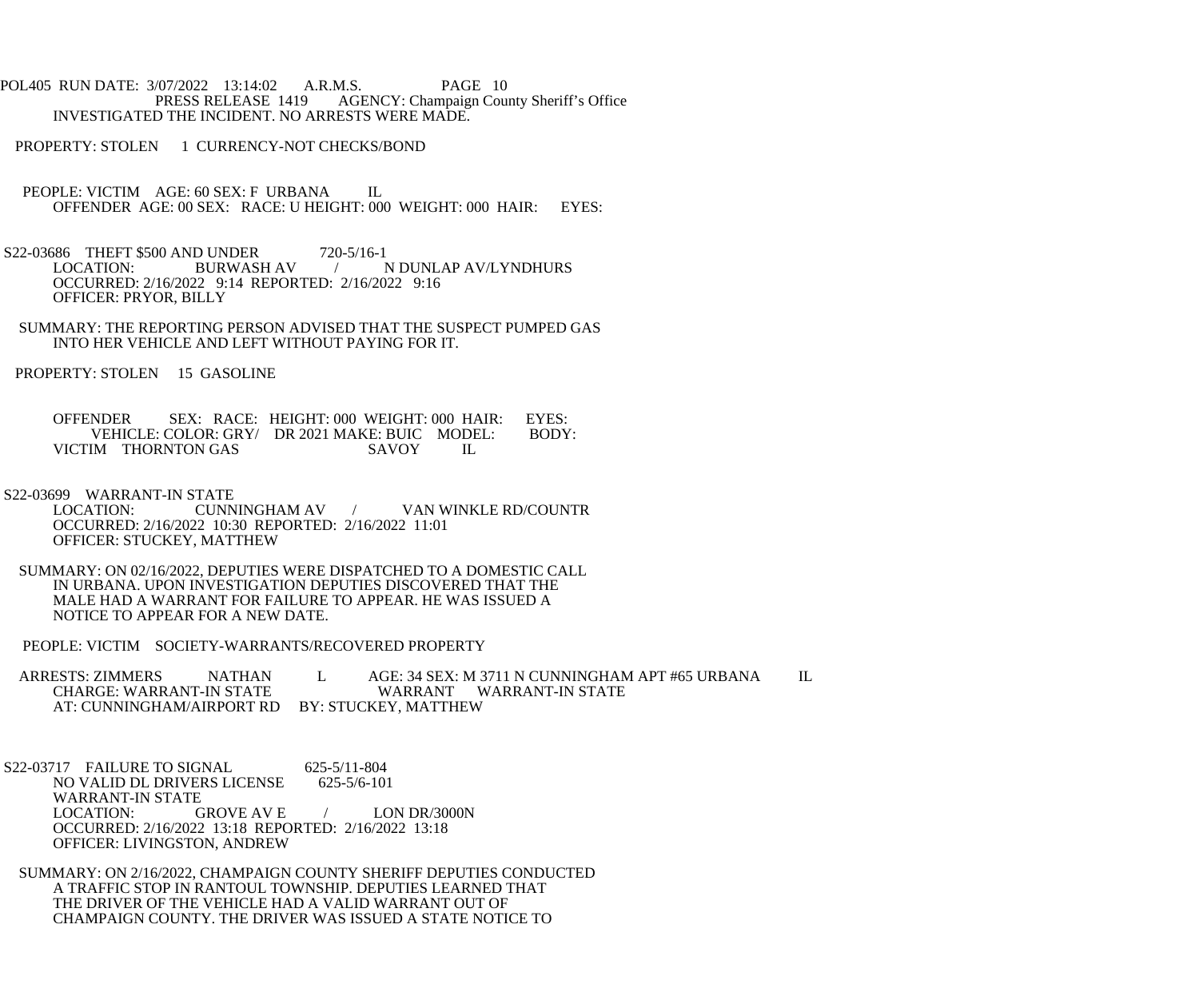POL405 RUN DATE: 3/07/2022 13:14:02 A.R.M.S. PAGE 10<br>PRESS RELEASE 1419 AGENCY: Champaign Cou AGENCY: Champaign County Sheriff's Office INVESTIGATED THE INCIDENT. NO ARRESTS WERE MADE.

PROPERTY: STOLEN 1 CURRENCY-NOT CHECKS/BOND

- PEOPLE: VICTIM AGE: 60 SEX: F URBANA IL OFFENDER AGE: 00 SEX: RACE: U HEIGHT: 000 WEIGHT: 000 HAIR: EYES:
- S22-03686 THEFT \$500 AND UNDER 720-5/16-1<br>LOCATION: BURWASH AV / 1 / N DUNLAP AV/LYNDHURS OCCURRED: 2/16/2022 9:14 REPORTED: 2/16/2022 9:16 OFFICER: PRYOR, BILLY
- SUMMARY: THE REPORTING PERSON ADVISED THAT THE SUSPECT PUMPED GAS INTO HER VEHICLE AND LEFT WITHOUT PAYING FOR IT.

PROPERTY: STOLEN 15 GASOLINE

OFFENDER SEX: RACE: HEIGHT: 000 WEIGHT: 000 HAIR: EYES:<br>VEHICLE: COLOR: GRY/ DR 2021 MAKE: BUIC MODEL: BODY: VEHICLE: COLOR: GRY/ DR 2021 MAKE: BUIC MODEL: VICTIM THORNTON GAS SAVOY IL

S22-03699 WARRANT-IN STATE

- LOCATION: CUNNINGHAM AV / VAN WINKLE RD/COUNTR OCCURRED: 2/16/2022 10:30 REPORTED: 2/16/2022 11:01 OFFICER: STUCKEY, MATTHEW
- SUMMARY: ON 02/16/2022, DEPUTIES WERE DISPATCHED TO A DOMESTIC CALL IN URBANA. UPON INVESTIGATION DEPUTIES DISCOVERED THAT THE MALE HAD A WARRANT FOR FAILURE TO APPEAR. HE WAS ISSUED A NOTICE TO APPEAR FOR A NEW DATE.

PEOPLE: VICTIM SOCIETY-WARRANTS/RECOVERED PROPERTY

ARRESTS: ZIMMERS NATHAN L AGE: 34 SEX: M 3711 N CUNNINGHAM APT #65 URBANA IL CHARGE: WARRANT WARRANT WARRANT-IN STATE WARRANT WARRANT-IN STATE AT: CUNNINGHAM/AIRPORT RD BY: STUCKEY, MATTHEW

S22-03717 FAILURE TO SIGNAL 625-5/11-804 NO VALID DL DRIVERS LICENSE 625-5/6-101 WARRANT-IN STATE<br>LOCATION: GROVE AV E  $/$  LON DR/3000N OCCURRED: 2/16/2022 13:18 REPORTED: 2/16/2022 13:18 OFFICER: LIVINGSTON, ANDREW

 SUMMARY: ON 2/16/2022, CHAMPAIGN COUNTY SHERIFF DEPUTIES CONDUCTED A TRAFFIC STOP IN RANTOUL TOWNSHIP. DEPUTIES LEARNED THAT THE DRIVER OF THE VEHICLE HAD A VALID WARRANT OUT OF CHAMPAIGN COUNTY. THE DRIVER WAS ISSUED A STATE NOTICE TO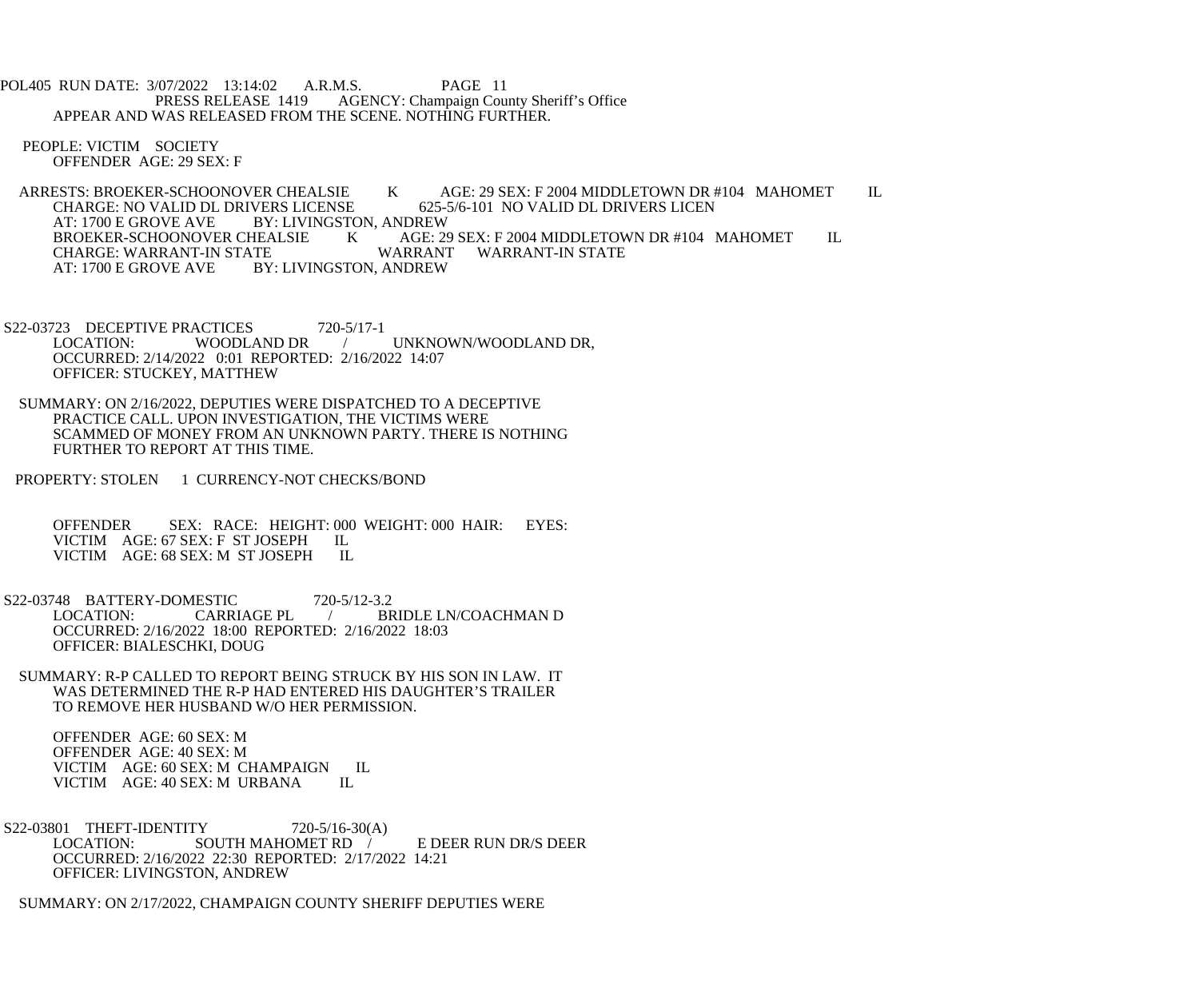POL405 RUN DATE: 3/07/2022 13:14:02 A.R.M.S. PAGE 11<br>PRESS RELEASE 1419 AGENCY: Champaign Cou AGENCY: Champaign County Sheriff's Office APPEAR AND WAS RELEASED FROM THE SCENE. NOTHING FURTHER.

 PEOPLE: VICTIM SOCIETY OFFENDER AGE: 29 SEX: F

ARRESTS: BROEKER-SCHOONOVER CHEALSIE K AGE: 29 SEX: F 2004 MIDDLETOWN DR #104 MAHOMET IL<br>CHARGE: NO VALID DL DRIVERS LICENSE 625-5/6-101 NO VALID DL DRIVERS LICEN CHARGE: NO VALID DL DRIVERS LICENSE<br>AT: 1700 E GROVE AVE BY: LIVINGSTO AT: 1700 E GROVE AVE BY: LIVINGSTON, ANDREW<br>BROEKER-SCHOONOVER CHEALSIE KAGE: 29 AGE: 29 SEX: F 2004 MIDDLETOWN DR #104 MAHOMET IL WARRANT WARRANT-IN STATE CHARGE: WARRANT-IN STATE<br>AT: 1700 E GROVE AVE BY BY: LIVINGSTON, ANDREW

S22-03723 DECEPTIVE PRACTICES 720-5/17-1<br>LOCATION: WOODLAND DR LOCATION: WOODLAND DR / UNKNOWN/WOODLAND DR, OCCURRED: 2/14/2022 0:01 REPORTED: 2/16/2022 14:07 OFFICER: STUCKEY, MATTHEW

 SUMMARY: ON 2/16/2022, DEPUTIES WERE DISPATCHED TO A DECEPTIVE PRACTICE CALL. UPON INVESTIGATION, THE VICTIMS WERE SCAMMED OF MONEY FROM AN UNKNOWN PARTY. THERE IS NOTHING FURTHER TO REPORT AT THIS TIME.

PROPERTY: STOLEN 1 CURRENCY-NOT CHECKS/BOND

OFFENDER SEX: RACE: HEIGHT: 000 WEIGHT: 000 HAIR: EYES:<br>VICTIM AGE: 67 SEX: F ST JOSEPH IL VICTIM AGE: 67 SEX: F ST JOSEPH IL<br>VICTIM AGE: 68 SEX: M ST JOSEPH IL VICTIM AGE: 68 SEX: M ST JOSEPH

S22-03748 BATTERY-DOMESTIC 720-5/12-3.2<br>LOCATION: CARRIAGE PL / BF LOCATION: CARRIAGE PL / BRIDLE LN/COACHMAN D OCCURRED: 2/16/2022 18:00 REPORTED: 2/16/2022 18:03 OFFICER: BIALESCHKI, DOUG

 SUMMARY: R-P CALLED TO REPORT BEING STRUCK BY HIS SON IN LAW. IT WAS DETERMINED THE R-P HAD ENTERED HIS DAUGHTER'S TRAILER TO REMOVE HER HUSBAND W/O HER PERMISSION.

 OFFENDER AGE: 60 SEX: M OFFENDER AGE: 40 SEX: M VICTIM AGE: 60 SEX: M CHAMPAIGN IL<br>VICTIM AGE: 40 SEX: M URBANA IL VICTIM AGE: 40 SEX: M URBANA

S22-03801 THEFT-IDENTITY 720-5/16-30(A) LOCATION: SOUTH MAHOMET RD / E DEER RUN DR/S DEER OCCURRED: 2/16/2022 22:30 REPORTED: 2/17/2022 14:21 OFFICER: LIVINGSTON, ANDREW

SUMMARY: ON 2/17/2022, CHAMPAIGN COUNTY SHERIFF DEPUTIES WERE